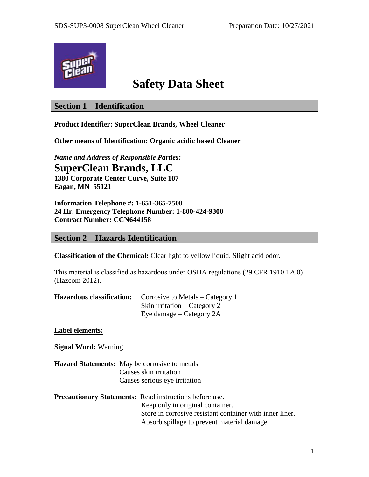

# **Safety Data Sheet**

# **Section 1 – Identification**

**Product Identifier: SuperClean Brands, Wheel Cleaner**

**Other means of Identification: Organic acidic based Cleaner**

*Name and Address of Responsible Parties:*

**SuperClean Brands, LLC**

**1380 Corporate Center Curve, Suite 107 Eagan, MN 55121**

**Information Telephone #: 1-651-365-7500 24 Hr. Emergency Telephone Number: 1-800-424-9300 Contract Number: CCN644158**

# **Section 2 – Hazards Identification**

**Classification of the Chemical:** Clear light to yellow liquid. Slight acid odor.

This material is classified as hazardous under OSHA regulations (29 CFR 1910.1200) (Hazcom 2012).

| <b>Hazardous classification:</b> Corrosive to Metals – Category 1 |  |  |
|-------------------------------------------------------------------|--|--|
| Skin irritation – Category 2                                      |  |  |
| Eye damage – Category 2A                                          |  |  |

**Label elements:**

**Signal Word:** Warning

**Hazard Statements:** May be corrosive to metals Causes skin irritation Causes serious eye irritation

### **Precautionary Statements:** Read instructions before use. Keep only in original container. Store in corrosive resistant container with inner liner. Absorb spillage to prevent material damage.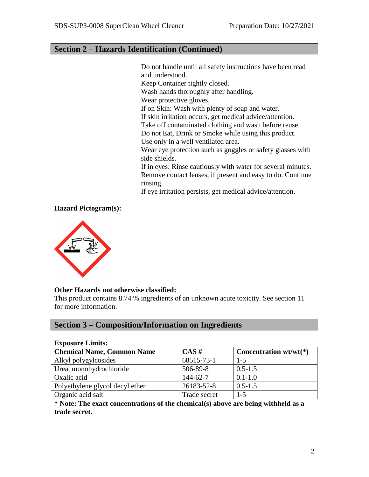# **Section 2 – Hazards Identification (Continued)**

Do not handle until all safety instructions have been read and understood. Keep Container tightly closed. Wash hands thoroughly after handling. Wear protective gloves. If on Skin: Wash with plenty of soap and water. If skin irritation occurs, get medical advice/attention. Take off contaminated clothing and wash before reuse. Do not Eat, Drink or Smoke while using this product. Use only in a well ventilated area. Wear eye protection such as goggles or safety glasses with side shields. If in eyes: Rinse cautiously with water for several minutes. Remove contact lenses, if present and easy to do. Continue rinsing. If eye irritation persists, get medical advice/attention.

### **Hazard Pictogram(s):**



#### **Other Hazards not otherwise classified:**

This product contains 8.74 % ingredients of an unknown acute toxicity. See section 11 for more information.

# **Section 3 – Composition/Information on Ingredients**

| <b>Exposure Limits:</b>           |              |                          |  |  |
|-----------------------------------|--------------|--------------------------|--|--|
| <b>Chemical Name, Common Name</b> | CAS#         | Concentration $wt/wt(*)$ |  |  |
| Alkyl polygylcosides              | 68515-73-1   | $1 - 5$                  |  |  |
| Urea, monohydrochloride           | 506-89-8     | $0.5 - 1.5$              |  |  |
| Oxalic acid                       | 144-62-7     | $0.1 - 1.0$              |  |  |
| Polyethylene glycol decyl ether   | 26183-52-8   | $0.5 - 1.5$              |  |  |
| Organic acid salt                 | Trade secret | $1 - 5$                  |  |  |

**\* Note: The exact concentrations of the chemical(s) above are being withheld as a trade secret.**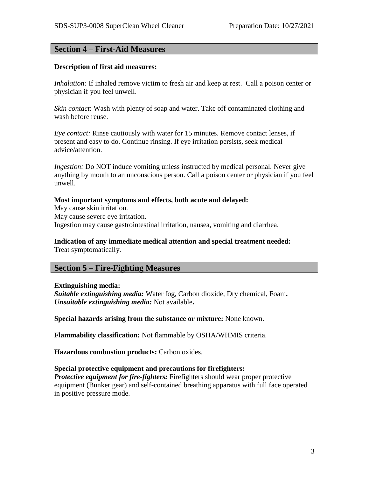### **Section 4 – First-Aid Measures**

#### **Description of first aid measures:**

*Inhalation:* If inhaled remove victim to fresh air and keep at rest. Call a poison center or physician if you feel unwell.

*Skin contact*: Wash with plenty of soap and water. Take off contaminated clothing and wash before reuse.

*Eye contact:* Rinse cautiously with water for 15 minutes. Remove contact lenses, if present and easy to do. Continue rinsing. If eye irritation persists, seek medical advice/attention.

*Ingestion:* Do NOT induce vomiting unless instructed by medical personal. Never give anything by mouth to an unconscious person. Call a poison center or physician if you feel unwell.

#### **Most important symptoms and effects, both acute and delayed:**

May cause skin irritation. May cause severe eye irritation. Ingestion may cause gastrointestinal irritation, nausea, vomiting and diarrhea.

# **Indication of any immediate medical attention and special treatment needed:**

Treat symptomatically.

### **Section 5 – Fire-Fighting Measures**

#### **Extinguishing media:**

*Suitable extinguishing media:* Water fog, Carbon dioxide, Dry chemical, Foam**.** *Unsuitable extinguishing media:* Not available**.**

**Special hazards arising from the substance or mixture:** None known.

**Flammability classification:** Not flammable by OSHA/WHMIS criteria.

**Hazardous combustion products:** Carbon oxides.

#### **Special protective equipment and precautions for firefighters:**

*Protective equipment for fire-fighters:* Firefighters should wear proper protective equipment (Bunker gear) and self-contained breathing apparatus with full face operated in positive pressure mode.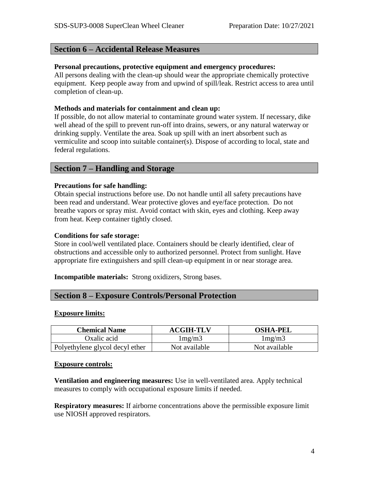# **Section 6 – Accidental Release Measures**

#### **Personal precautions, protective equipment and emergency procedures:**

All persons dealing with the clean-up should wear the appropriate chemically protective equipment. Keep people away from and upwind of spill/leak. Restrict access to area until completion of clean-up.

### **Methods and materials for containment and clean up:**

If possible, do not allow material to contaminate ground water system. If necessary, dike well ahead of the spill to prevent run-off into drains, sewers, or any natural waterway or drinking supply. Ventilate the area. Soak up spill with an inert absorbent such as vermiculite and scoop into suitable container(s). Dispose of according to local, state and federal regulations.

## **Section 7 – Handling and Storage**

### **Precautions for safe handling:**

Obtain special instructions before use. Do not handle until all safety precautions have been read and understand. Wear protective gloves and eye/face protection. Do not breathe vapors or spray mist. Avoid contact with skin, eyes and clothing. Keep away from heat. Keep container tightly closed.

### **Conditions for safe storage:**

Store in cool/well ventilated place. Containers should be clearly identified, clear of obstructions and accessible only to authorized personnel. Protect from sunlight. Have appropriate fire extinguishers and spill clean-up equipment in or near storage area.

**Incompatible materials:** Strong oxidizers, Strong bases.

## **Section 8 – Exposure Controls/Personal Protection**

#### **Exposure limits:**

| <b>Chemical Name</b>            | <b>ACGIH-TLV</b> | <b>OSHA-PEL</b> |
|---------------------------------|------------------|-----------------|
| Oxalic acid                     | 1mg/m3           | 1mg/m3          |
| Polyethylene glycol decyl ether | Not available    | Not available   |

#### **Exposure controls:**

**Ventilation and engineering measures:** Use in well-ventilated area. Apply technical measures to comply with occupational exposure limits if needed.

**Respiratory measures:** If airborne concentrations above the permissible exposure limit use NIOSH approved respirators.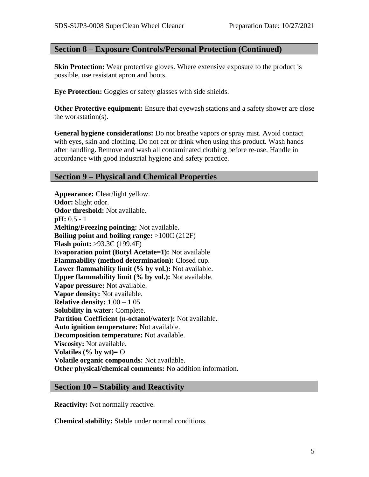# **Section 8 – Exposure Controls/Personal Protection (Continued)**

**Skin Protection:** Wear protective gloves. Where extensive exposure to the product is possible, use resistant apron and boots.

**Eye Protection:** Goggles or safety glasses with side shields.

**Other Protective equipment:** Ensure that eyewash stations and a safety shower are close the workstation(s).

**General hygiene considerations:** Do not breathe vapors or spray mist. Avoid contact with eyes, skin and clothing. Do not eat or drink when using this product. Wash hands after handling. Remove and wash all contaminated clothing before re-use. Handle in accordance with good industrial hygiene and safety practice.

# **Section 9 – Physical and Chemical Properties**

**Appearance:** Clear/light yellow. **Odor:** Slight odor. **Odor threshold:** Not available. **pH:** 0.5 - 1 **Melting/Freezing pointing:** Not available. **Boiling point and boiling range:** >100C (212F) **Flash point:** >93.3C (199.4F) **Evaporation point (Butyl Acetate=1):** Not available **Flammability (method determination):** Closed cup. **Lower flammability limit (% by vol.):** Not available. **Upper flammability limit (% by vol.):** Not available. **Vapor pressure:** Not available. **Vapor density:** Not available. **Relative density:** 1.00 – 1.05 **Solubility in water:** Complete. **Partition Coefficient (n-octanol/water):** Not available. **Auto ignition temperature:** Not available. **Decomposition temperature:** Not available. **Viscosity:** Not available. **Volatiles (% by wt)=** O **Volatile organic compounds:** Not available. **Other physical/chemical comments:** No addition information.

## **Section 10 – Stability and Reactivity**

**Reactivity:** Not normally reactive.

**Chemical stability:** Stable under normal conditions.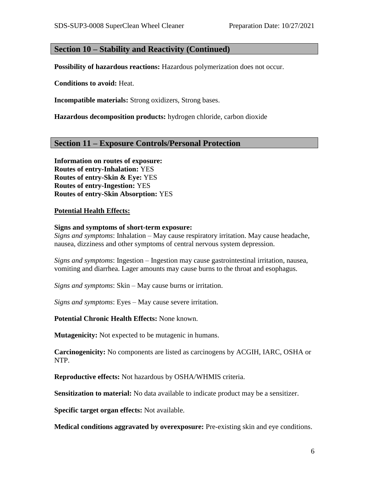### **Section 10 – Stability and Reactivity (Continued)**

**Possibility of hazardous reactions:** Hazardous polymerization does not occur.

**Conditions to avoid:** Heat.

**Incompatible materials:** Strong oxidizers, Strong bases.

**Hazardous decomposition products:** hydrogen chloride, carbon dioxide

### **Section 11 – Exposure Controls/Personal Protection**

**Information on routes of exposure: Routes of entry-Inhalation:** YES **Routes of entry-Skin & Eye:** YES **Routes of entry-Ingestion:** YES **Routes of entry-Skin Absorption:** YES

#### **Potential Health Effects:**

#### **Signs and symptoms of short-term exposure:**

*Signs and symptoms*: Inhalation – May cause respiratory irritation. May cause headache, nausea, dizziness and other symptoms of central nervous system depression.

*Signs and symptoms*: Ingestion – Ingestion may cause gastrointestinal irritation, nausea, vomiting and diarrhea. Lager amounts may cause burns to the throat and esophagus.

*Signs and symptoms*: Skin – May cause burns or irritation.

*Signs and symptoms*: Eyes – May cause severe irritation.

**Potential Chronic Health Effects:** None known.

**Mutagenicity:** Not expected to be mutagenic in humans.

**Carcinogenicity:** No components are listed as carcinogens by ACGIH, IARC, OSHA or NTP.

**Reproductive effects:** Not hazardous by OSHA/WHMIS criteria.

**Sensitization to material:** No data available to indicate product may be a sensitizer.

**Specific target organ effects:** Not available.

**Medical conditions aggravated by overexposure:** Pre-existing skin and eye conditions.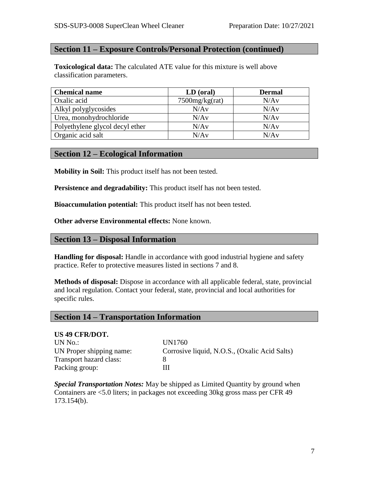# **Section 11 – Exposure Controls/Personal Protection (continued)**

**Toxicological data:** The calculated ATE value for this mixture is well above classification parameters.

| <b>Chemical name</b>            | LD (oral)         | <b>Dermal</b> |
|---------------------------------|-------------------|---------------|
| Oxalic acid                     | $7500$ mg/kg(rat) | N/Av          |
| Alkyl polyglycosides            | N/Av              | N/Av          |
| Urea, monohydrochloride         | N/Av              | N/Av          |
| Polyethylene glycol decyl ether | N/Av              | N/Av          |
| Organic acid salt               | N/Av              | N/Av          |

## **Section 12 – Ecological Information**

**Mobility in Soil:** This product itself has not been tested.

**Persistence and degradability:** This product itself has not been tested.

**Bioaccumulation potential:** This product itself has not been tested.

**Other adverse Environmental effects:** None known.

### **Section 13 – Disposal Information**

**Handling for disposal:** Handle in accordance with good industrial hygiene and safety practice. Refer to protective measures listed in sections 7 and 8.

**Methods of disposal:** Dispose in accordance with all applicable federal, state, provincial and local regulation. Contact your federal, state, provincial and local authorities for specific rules.

### **Section 14 – Transportation Information**

#### **US 49 CFR/DOT.**

UN No.: UN1760 Transport hazard class: 8 Packing group: III

UN Proper shipping name: Corrosive liquid, N.O.S., (Oxalic Acid Salts)

*Special Transportation Notes:* May be shipped as Limited Quantity by ground when Containers are <5.0 liters; in packages not exceeding 30kg gross mass per CFR 49 173.154(b).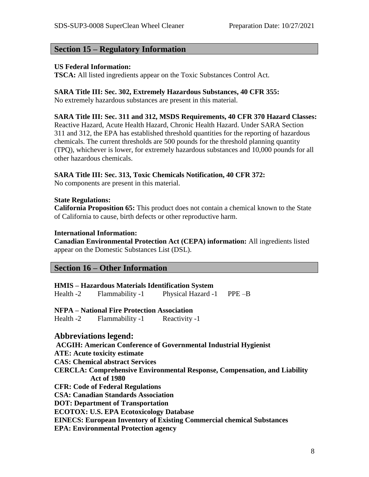### **Section 15 – Regulatory Information**

#### **US Federal Information:**

**TSCA:** All listed ingredients appear on the Toxic Substances Control Act.

#### **SARA Title III: Sec. 302, Extremely Hazardous Substances, 40 CFR 355:**

No extremely hazardous substances are present in this material.

#### **SARA Title III: Sec. 311 and 312, MSDS Requirements, 40 CFR 370 Hazard Classes:**

Reactive Hazard, Acute Health Hazard, Chronic Health Hazard. Under SARA Section 311 and 312, the EPA has established threshold quantities for the reporting of hazardous chemicals. The current thresholds are 500 pounds for the threshold planning quantity (TPQ), whichever is lower, for extremely hazardous substances and 10,000 pounds for all other hazardous chemicals.

#### **SARA Title III: Sec. 313, Toxic Chemicals Notification, 40 CFR 372:**

No components are present in this material.

### **State Regulations:**

**California Proposition 65:** This product does not contain a chemical known to the State of California to cause, birth defects or other reproductive harm.

#### **International Information:**

**Canadian Environmental Protection Act (CEPA) information:** All ingredients listed appear on the Domestic Substances List (DSL).

# **Section 16 – Other Information**

**HMIS – Hazardous Materials Identification System** Health -2 Flammability -1 Physical Hazard -1 PPE –B

**NFPA – National Fire Protection Association**

Health -2 Flammability -1 Reactivity -1

### **Abbreviations legend:**

**ACGIH: American Conference of Governmental Industrial Hygienist ATE: Acute toxicity estimate CAS: Chemical abstract Services CERCLA: Comprehensive Environmental Response, Compensation, and Liability Act of 1980 CFR: Code of Federal Regulations CSA: Canadian Standards Association DOT: Department of Transportation ECOTOX: U.S. EPA Ecotoxicology Database EINECS: European Inventory of Existing Commercial chemical Substances EPA: Environmental Protection agency**